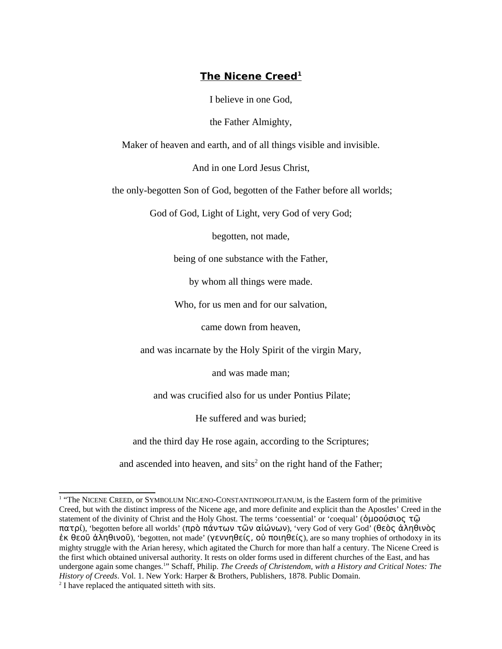## **The Nicene Creed<sup>1</sup>**

I believe in one God,

the Father Almighty,

Maker of heaven and earth, and of all things visible and invisible.

And in one Lord Jesus Christ,

the only-begotten Son of God, begotten of the Father before all worlds;

God of God, Light of Light, very God of very God;

begotten, not made,

being of one substance with the Father,

by whom all things were made.

Who, for us men and for our salvation,

came down from heaven,

and was incarnate by the Holy Spirit of the virgin Mary,

and was made man;

and was crucified also for us under Pontius Pilate;

He suffered and was buried;

and the third day He rose again, according to the Scriptures;

and ascended into heaven, and sits<sup>[2](#page-0-1)</sup> on the right hand of the Father;

<span id="page-0-0"></span><sup>&</sup>lt;sup>1</sup> "The NICENE CREED, or SYMBOLUM NICÆNO-CONSTANTINOPOLITANUM, is the Eastern form of the primitive Creed, but with the distinct impress of the Nicene age, and more definite and explicit than the Apostles' Creed in the statement of the divinity of Christ and the Holy Ghost. The terms 'coessential' or 'coequal' (ὁμοούσιος τῷ πατρί), 'begotten before all worlds' (πρὸ πάντων τῶν αἰώνων), 'very God of very God' (θεὸς ἀληθινὸς ἐκ θεοῦ ἀληθινοῦ), 'begotten, not made' (γεννηθείς, οὐ ποιηθείς), are so many trophies of orthodoxy in its mighty struggle with the Arian heresy, which agitated the Church for more than half a century. The Nicene Creed is the first which obtained universal authority. It rests on older forms used in different churches of the East, and has undergone again some changes.<sup>1</sup>" Schaff, Philip. *The Creeds of Christendom, with a History and Critical Notes: The History of Creeds*. Vol. 1. New York: Harper & Brothers, Publishers, 1878. Public Domain.

<span id="page-0-1"></span> $2<sup>2</sup>$  I have replaced the antiquated sitteth with sits.